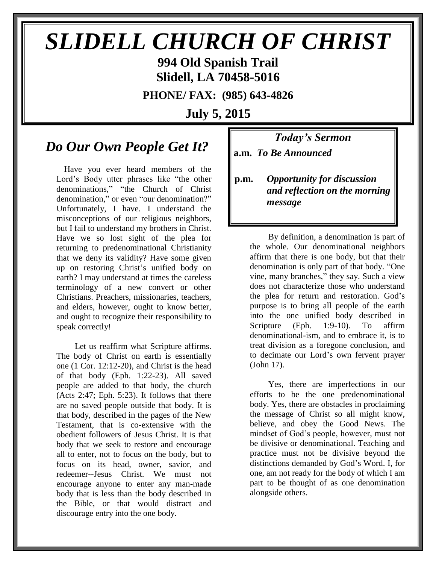# *SLIDELL CHURCH OF CHRIST* **994 Old Spanish Trail**

**Slidell, LA 70458-5016**

**PHONE/ FAX: (985) 643-4826**

**July 5, 2015**

## *Do Our Own People Get It?*

Have you ever heard members of the Lord's Body utter phrases like "the other denominations," "the Church of Christ denomination," or even "our denomination?" Unfortunately, I have. I understand the misconceptions of our religious neighbors, but I fail to understand my brothers in Christ. Have we so lost sight of the plea for returning to predenominational Christianity that we deny its validity? Have some given up on restoring Christ's unified body on earth? I may understand at times the careless terminology of a new convert or other Christians. Preachers, missionaries, teachers, and elders, however, ought to know better, and ought to recognize their responsibility to speak correctly!

 Let us reaffirm what Scripture affirms. The body of Christ on earth is essentially one (1 Cor. 12:12-20), and Christ is the head of that body (Eph. 1:22-23). All saved people are added to that body, the church (Acts 2:47; Eph. 5:23). It follows that there are no saved people outside that body. It is that body, described in the pages of the New Testament, that is co-extensive with the obedient followers of Jesus Christ. It is that body that we seek to restore and encourage all to enter, not to focus on the body, but to focus on its head, owner, savior, and redeemer--Jesus Christ. We must not encourage anyone to enter any man-made body that is less than the body described in the Bible, or that would distract and discourage entry into the one body.

*Today's Sermon* **a.m.** *To Be Announced*

**p.m.** *Opportunity for discussion*  *and reflection on the morning message*

 By definition, a denomination is part of the whole. Our denominational neighbors affirm that there is one body, but that their denomination is only part of that body. "One vine, many branches," they say. Such a view does not characterize those who understand the plea for return and restoration. God's purpose is to bring all people of the earth into the one unified body described in Scripture (Eph. 1:9-10). To affirm denominational-ism, and to embrace it, is to treat division as a foregone conclusion, and to decimate our Lord's own fervent prayer (John 17).

 Yes, there are imperfections in our efforts to be the one predenominational body. Yes, there are obstacles in proclaiming the message of Christ so all might know, believe, and obey the Good News. The mindset of God's people, however, must not be divisive or denominational. Teaching and practice must not be divisive beyond the distinctions demanded by God's Word. I, for one, am not ready for the body of which I am part to be thought of as one denomination alongside others.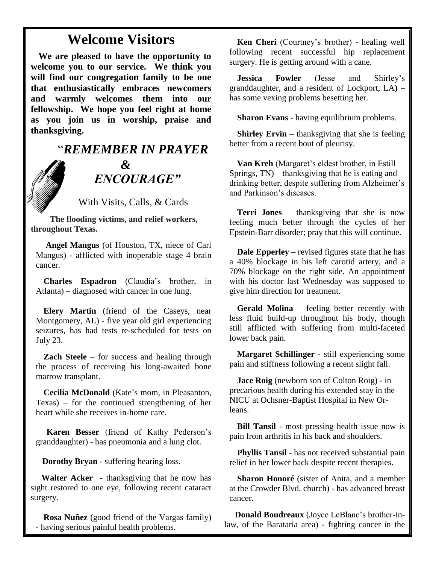## **Welcome Visitors**

**We are pleased to have the opportunity to welcome you to our service. We think you will find our congregation family to be one that enthusiastically embraces newcomers and warmly welcomes them into our fellowship. We hope you feel right at home as you join us in worship, praise and thanksgiving.**

## "*REMEMBER IN PRAYER &* " *ENCOURAGE"*

With Visits, Calls, & Cards

 **The flooding victims, and relief workers, throughout Texas.**

**Angel Mangus** (of Houston, TX, niece of Carl Mangus) - afflicted with inoperable stage 4 brain cancer.

**Charles Espadron** (Claudia's brother, in Atlanta) – diagnosed with cancer in one lung.

**Elery Martin** (friend of the Caseys, near Montgomery, AL) - five year old girl experiencing seizures, has had tests re-scheduled for tests on July 23.

**Zach Steele** – for success and healing through the process of receiving his long-awaited bone marrow transplant.

**Cecilia McDonald** (Kate's mom, in Pleasanton, Texas) – for the continued strengthening of her heart while she receives in-home care.

 **Karen Besser** (friend of Kathy Pederson's granddaughter) - has pneumonia and a lung clot.

 **Dorothy Bryan** - suffering hearing loss.

 **Walter Acker** - thanksgiving that he now has sight restored to one eye, following recent cataract surgery.

**Rosa Nuñez** (good friend of the Vargas family) - having serious painful health problems.

**Ken Cheri** (Courtney's brother) - healing well following recent successful hip replacement surgery. He is getting around with a cane.

**Jessica Fowler** (Jesse and Shirley's granddaughter, and a resident of Lockport, LA**)** – has some vexing problems besetting her.

**Sharon Evans** - having equilibrium problems.

**Shirley Ervin** – thanksgiving that she is feeling better from a recent bout of pleurisy.

**Van Kreh** (Margaret's eldest brother, in Estill Springs, TN) – thanksgiving that he is eating and drinking better, despite suffering from Alzheimer's and Parkinson's diseases.

**Terri Jones** – thanksgiving that she is now feeling much better through the cycles of her Epstein-Barr disorder; pray that this will continue.

**Dale Epperley** – revised figures state that he has a 40% blockage in his left carotid artery, and a 70% blockage on the right side. An appointment with his doctor last Wednesday was supposed to give him direction for treatment.

**Gerald Molina** – feeling better recently with less fluid build-up throughout his body, though still afflicted with suffering from multi-faceted lower back pain.

**Margaret Schillinger** - still experiencing some pain and stiffness following a recent slight fall.

**Jace Roig** (newborn son of Colton Roig) - in precarious health during his extended stay in the NICU at Ochsner-Baptist Hospital in New Orleans.

**Bill Tansil** - most pressing health issue now is pain from arthritis in his back and shoulders.

**Phyllis Tansil** - has not received substantial pain relief in her lower back despite recent therapies.

**Sharon Honoré** (sister of Anita, and a member at the Crowder Blvd. church) - has advanced breast cancer.

 **Donald Boudreaux** (Joyce LeBlanc's brother-inlaw, of the Barataria area) - fighting cancer in the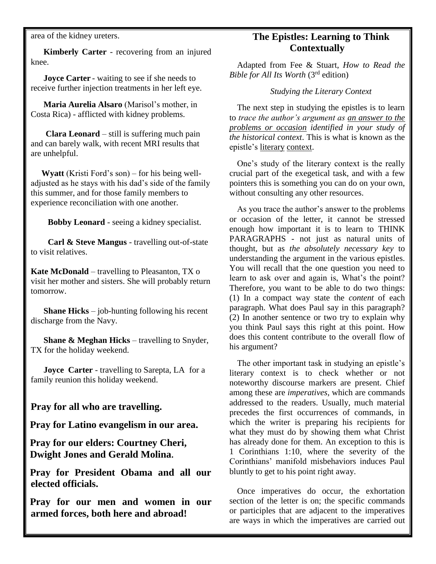area of the kidney ureters.

 **Kimberly Carter** - recovering from an injured knee.

**Joyce Carter** - waiting to see if she needs to receive further injection treatments in her left eye.

 **Maria Aurelia Alsaro** (Marisol's mother, in Costa Rica) - afflicted with kidney problems.

 **Clara Leonard** – still is suffering much pain and can barely walk, with recent MRI results that are unhelpful.

 **Wyatt** (Kristi Ford's son) – for his being welladjusted as he stays with his dad's side of the family this summer, and for those family members to experience reconciliation with one another.

 **Bobby Leonard** - seeing a kidney specialist.

 **Carl & Steve Mangus** - travelling out-of-state to visit relatives.

**Kate McDonald** – travelling to Pleasanton, TX o visit her mother and sisters. She will probably return tomorrow.

 **Shane Hicks** – job-hunting following his recent discharge from the Navy.

 **Shane & Meghan Hicks** – travelling to Snyder, TX for the holiday weekend.

**Joyce Carter** - travelling to Sarepta, LA for a family reunion this holiday weekend.

#### **Pray for all who are travelling.**

**Pray for Latino evangelism in our area.**

**Pray for our elders: Courtney Cheri, Dwight Jones and Gerald Molina.**

**Pray for President Obama and all our elected officials.**

**Pray for our men and women in our armed forces, both here and abroad!**

#### **The Epistles: Learning to Think Contextually**

Adapted from Fee & Stuart, *How to Read the Bible for All Its Worth* (3rd edition)

#### *Studying the Literary Context*

The next step in studying the epistles is to learn to *trace the author's argument as an answer to the problems or occasion identified in your study of the historical context*. This is what is known as the epistle's literary context.

One's study of the literary context is the really crucial part of the exegetical task, and with a few pointers this is something you can do on your own, without consulting any other resources.

As you trace the author's answer to the problems or occasion of the letter, it cannot be stressed enough how important it is to learn to THINK PARAGRAPHS - not just as natural units of thought, but as *the absolutely necessary key* to understanding the argument in the various epistles. You will recall that the one question you need to learn to ask over and again is, What's the point? Therefore, you want to be able to do two things: (1) In a compact way state the *content* of each paragraph. What does Paul say in this paragraph? (2) In another sentence or two try to explain why you think Paul says this right at this point. How does this content contribute to the overall flow of his argument?

The other important task in studying an epistle's literary context is to check whether or not noteworthy discourse markers are present. Chief among these are *imperatives*, which are commands addressed to the readers. Usually, much material precedes the first occurrences of commands, in which the writer is preparing his recipients for what they must do by showing them what Christ has already done for them. An exception to this is 1 Corinthians 1:10, where the severity of the Corinthians' manifold misbehaviors induces Paul bluntly to get to his point right away.

Once imperatives do occur, the exhortation section of the letter is on; the specific commands or participles that are adjacent to the imperatives are ways in which the imperatives are carried out